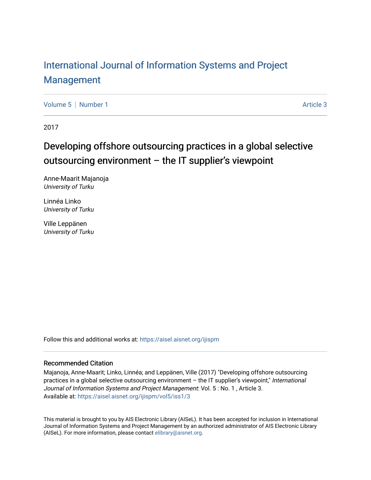# [International Journal of Information Systems and Project](https://aisel.aisnet.org/ijispm)  [Management](https://aisel.aisnet.org/ijispm)

[Volume 5](https://aisel.aisnet.org/ijispm/vol5) | [Number 1](https://aisel.aisnet.org/ijispm/vol5/iss1) Article 3

2017

# Developing offshore outsourcing practices in a global selective outsourcing environment – the IT supplier's viewpoint

Anne-Maarit Majanoja University of Turku

Linnéa Linko University of Turku

Ville Leppänen University of Turku

Follow this and additional works at: [https://aisel.aisnet.org/ijispm](https://aisel.aisnet.org/ijispm?utm_source=aisel.aisnet.org%2Fijispm%2Fvol5%2Fiss1%2F3&utm_medium=PDF&utm_campaign=PDFCoverPages) 

# Recommended Citation

Majanoja, Anne-Maarit; Linko, Linnéa; and Leppänen, Ville (2017) "Developing offshore outsourcing practices in a global selective outsourcing environment – the IT supplier's viewpoint," International Journal of Information Systems and Project Management: Vol. 5 : No. 1 , Article 3. Available at: [https://aisel.aisnet.org/ijispm/vol5/iss1/3](https://aisel.aisnet.org/ijispm/vol5/iss1/3?utm_source=aisel.aisnet.org%2Fijispm%2Fvol5%2Fiss1%2F3&utm_medium=PDF&utm_campaign=PDFCoverPages) 

This material is brought to you by AIS Electronic Library (AISeL). It has been accepted for inclusion in International Journal of Information Systems and Project Management by an authorized administrator of AIS Electronic Library (AISeL). For more information, please contact [elibrary@aisnet.org](mailto:elibrary@aisnet.org%3E).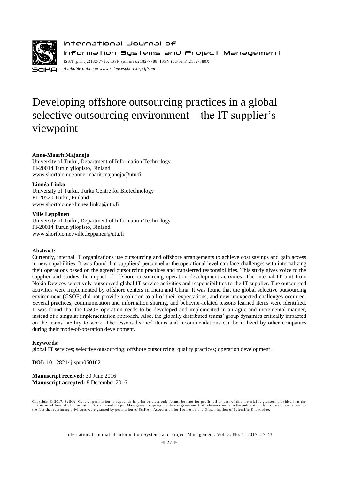

International Journal of Information Systems and Project Management ISSN (print):2182-7796, ISSN (online):2182-7788, ISSN (cd-rom):2182-780X *Available online a[t www.sciencesphere.org/ijispm](http://www.sciencesphere.org/ijispm)*

# Developing offshore outsourcing practices in a global selective outsourcing environment – the IT supplier's viewpoint

## **Anne-Maarit Majanoja**

University of Turku, Department of Information Technology FI-20014 Turun yliopisto, Finland www.shortbio.net/anne-maarit.majanoja@utu.fi

#### **Linnéa Linko**

University of Turku, Turku Centre for Biotechnology FI-20520 Turku, Finland www.shortbio.net/linnea.linko@utu.fi

#### **Ville Leppänen**

University of Turku, Department of Information Technology FI-20014 Turun yliopisto, Finland www.shortbio.net/ville.leppanen@utu.fi

#### **Abstract:**

Currently, internal IT organizations use outsourcing and offshore arrangements to achieve cost savings and gain access to new capabilities. It was found that suppliers' personnel at the operational level can face challenges with internalizing their operations based on the agreed outsourcing practices and transferred responsibilities. This study gives voice to the supplier and studies the impact of offshore outsourcing operation development activities. The internal IT unit from Nokia Devices selectively outsourced global IT service activities and responsibilities to the IT supplier. The outsourced activities were implemented by offshore centers in India and China. It was found that the global selective outsourcing environment (GSOE) did not provide a solution to all of their expectations, and new unexpected challenges occurred. Several practices, communication and information sharing, and behavior-related lessons learned items were identified. It was found that the GSOE operation needs to be developed and implemented in an agile and incremental manner, instead of a singular implementation approach. Also, the globally distributed teams' group dynamics critically impacted on the teams' ability to work. The lessons learned items and recommendations can be utilized by other companies during their mode-of-operation development.

#### **Keywords:**

global IT services; selective outsourcing; offshore outsourcing; quality practices; operation development.

**DOI:** 10.12821/ijispm050102

**Manuscript received:** 30 June 2016 **Manuscript accepted:** 8 December 2016

Copyright © 2017, SciKA. General permission to republish in print or electronic forms, bu t not for profit, all or part of this material is granted, provided that the International Journal of Information Systems and Project Management copyright notice is given and that reference made to the publication, to its date of issue, and to<br>the fact that reprinting privileges were granted by per

International Journal of Information Systems and Project Management, Vol. 5, No. 1, 2017, 27-43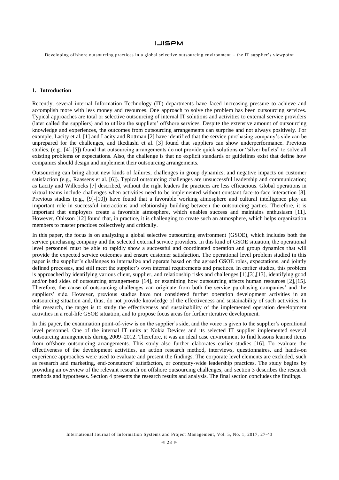Developing offshore outsourcing practices in a global selective outsourcing environment – the IT supplier's viewpoint

# **1. Introduction**

Recently, several internal Information Technology (IT) departments have faced increasing pressure to achieve and accomplish more with less money and resources. One approach to solve the problem has been outsourcing services. Typical approaches are total or selective outsourcing of internal IT solutions and activities to external service providers (later called the suppliers) and to utilize the suppliers' offshore services. Despite the extensive amount of outsourcing knowledge and experiences, the outcomes from outsourcing arrangements can surprise and not always positively. For example, Lacity et al. [1] and Lacity and Rottman [2] have identified that the service purchasing company's side can be unprepared for the challenges, and Ikediashi et al. [3] found that suppliers can show underperformance. Previous studies, (e.g., [4]-[5]) found that outsourcing arrangements do not provide quick solutions or "silver bullets" to solve all existing problems or expectations. Also, the challenge is that no explicit standards or guidelines exist that define how companies should design and implement their outsourcing arrangements.

Outsourcing can bring about new kinds of failures, challenges in group dynamics, and negative impacts on customer satisfaction (e.g., Raassens et al. [6]). Typical outsourcing challenges are unsuccessful leadership and communication; as Lacity and Willcocks [7] described, without the right leaders the practices are less efficacious. Global operations in virtual teams include challenges when activities need to be implemented without constant face-to-face interaction [8]. Previous studies (e.g., [9]-[10]) have found that a favorable working atmosphere and cultural intelligence play an important role in successful interactions and relationship building between the outsourcing parties. Therefore, it is important that employers create a favorable atmosphere, which enables success and maintains enthusiasm [11]. However, Ohlsson [12] found that, in practice, it is challenging to create such an atmosphere, which helps organization members to master practices collectively and critically.

In this paper, the focus is on analyzing a global selective outsourcing environment (GSOE), which includes both the service purchasing company and the selected external service providers. In this kind of GSOE situation, the operational level personnel must be able to rapidly show a successful and coordinated operation and group dynamics that will provide the expected service outcomes and ensure customer satisfaction. The operational level problem studied in this paper is the supplier's challenges to internalize and operate based on the agreed GSOE roles, expectations, and jointly defined processes, and still meet the supplier's own internal requirements and practices. In earlier studies, this problem is approached by identifying various client, supplier, and relationship risks and challenges [1],[3],[13], identifying good and/or bad sides of outsourcing arrangements [14], or examining how outsourcing affects human resources [2],[15]. Therefore, the cause of outsourcing challenges can originate from both the service purchasing companies' and the suppliers' side. However, previous studies have not considered further operation development activities in an outsourcing situation and, thus, do not provide knowledge of the effectiveness and sustainability of such activities. In this research, the target is to study the effectiveness and sustainability of the implemented operation development activities in a real-life GSOE situation, and to propose focus areas for further iterative development.

In this paper, the examination point-of-view is on the supplier's side, and the voice is given to the supplier's operational level personnel. One of the internal IT units at Nokia Devices and its selected IT supplier implemented several outsourcing arrangements during 2009–2012. Therefore, it was an ideal case environment to find lessons learned items from offshore outsourcing arrangements. This study also further elaborates earlier studies [16]. To evaluate the effectiveness of the development activities, an action research method, interviews, questionnaires, and hands-on experience approaches were used to evaluate and present the findings. The corporate level elements are excluded, such as research and marketing, end-consumers' satisfaction, or company-wide leadership practices. The study begins by providing an overview of the relevant research on offshore outsourcing challenges, and section 3 describes the research methods and hypotheses. Section 4 presents the research results and analysis. The final section concludes the findings.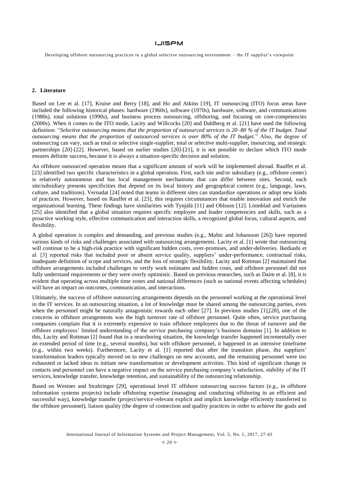Developing offshore outsourcing practices in a global selective outsourcing environment – the IT supplier's viewpoint

# **2. Literature**

Based on Lee et al. [17], Kruise and Berry [18], and Ho and Atkins [19], IT outsourcing (ITO) focus areas have included the following historical phases: hardware (1960s), software (1970s), hardware, software, and communications (1980s), total solutions (1990s), and business process outsourcing, offshoring, and focusing on core-competencies (2000s). When it comes to the ITO mode, Lacity and Willcocks [20] and Dahlberg et al. [21] have used the following definition: "*Selective outsourcing means that the proportion of outsourced services is 20–80 % of the IT budget. Total outsourcing means that the proportion of outsourced services is over 80% of the IT budget.*" Also, the degree of outsourcing can vary, such as total or selective single-supplier, total or selective multi-supplier, insourcing, and strategic partnerships [20]-[22]. However, based on earlier studies [20]-[21], it is not possible to declare which ITO mode ensures definite success, because it is always a situation-specific decision and solution.

An offshore outsourced operation means that a significant amount of work will be implemented abroad. Rauffet et al. [23] identified two specific characteristics in a global operation. First, each site and/or subsidiary (e.g., offshore center) is relatively autonomous and has local management mechanisms that can differ between sites. Second, each site/subsidiary presents specificities that depend on its local history and geographical context (e.g., language, laws, culture, and traditions). Vernadat [24] noted that teams in different sites can standardize operations or adopt new kinds of practices. However, based on Rauffet et al. [23], this requires circumstances that enable innovation and enrich the organizational learning. These findings have similarities with Tynjälä [11] and Ohlsson [12]. Lönnblad and Vartiainen [25] also identified that a global situation requires specific employee and leader competencies and skills, such as a proactive working style, effective communication and interaction skills, a recognized global focus, cultural aspects, and flexibility.

A global operation is complex and demanding, and previous studies (e.g., Muhic and Johansson [26]) have reported various kinds of risks and challenges associated with outsourcing arrangements. Lacity et al. [1] wrote that outsourcing will continue to be a high-risk practice with significant hidden costs, over-promises, and under-deliveries. Ikediashi et al. [3] reported risks that included poor or absent service quality, suppliers' under-performance, contractual risks, inadequate definition of scope and services, and the loss of strategic flexibility. Lacity and Rottman [2] maintained that offshore arrangements included challenges to verify work estimates and hidden costs, and offshore personnel did not fully understand requirements or they were overly optimistic. Based on previous researches, such as Daim et al. [8], it is evident that operating across multiple time zones and national differences (such as national events affecting schedules) will have an impact on outcomes, communication, and interactions.

Ultimately, the success of offshore outsourcing arrangements depends on the personnel working at the operational level in the IT services. In an outsourcing situation, a lot of knowledge must be shared among the outsourcing parties, even when the personnel might be naturally antagonistic towards each other [27]. In previous studies [1],[28], one of the concerns in offshore arrangements was the high turnover rate of offshore personnel. Quite often, service purchasing companies complain that it is extremely expensive to train offshore employees due to the threat of turnover and the offshore employees' limited understanding of the service purchasing company's business domains [1]. In addition to this, Lacity and Rottman [2] found that in a nearshoring situation, the knowledge transfer happened incrementally over an extended period of time (e.g., several months), but with offshore personnel, it happened in an intensive timeframe (e.g., within two weeks). Furthermore, Lacity et al. [1] reported that after the transition phase, the suppliers' transformation leaders typically moved on to new challenges on new accounts, and the remaining personnel were too exhausted or lacked ideas to initiate new transformation or development activities. This kind of significant change in contacts and personnel can have a negative impact on the service purchasing company's satisfaction, stability of the IT services, knowledge transfer, knowledge retention, and sustainability of the outsourcing relationship.

Based on Westner and Strahringer [29], operational level IT offshore outsourcing success factors (e.g., in offshore information systems projects) include offshoring expertise (managing and conducting offshoring in an efficient and successful way), knowledge transfer (project/service-relevant explicit and implicit knowledge efficiently transferred to the offshore personnel), liaison quality (the degree of connection and quality practices in order to achieve the goals and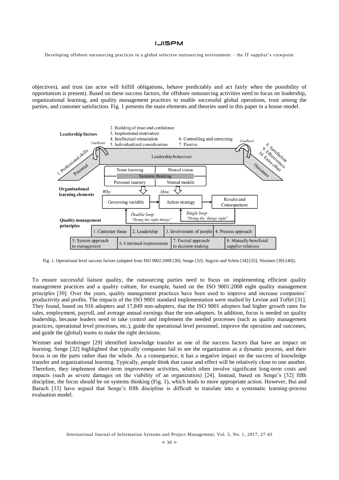Developing offshore outsourcing practices in a global selective outsourcing environment – the IT supplier's viewpoint

objectives), and trust (an actor will fulfill obligations, behave predictably and act fairly when the possibility of opportunism is present). Based on these success factors, the offshore outsourcing activities need to focus on leadership, organizational learning, and quality management practices to enable successful global operations, trust among the parties, and customer satisfaction. Fig. 1 presents the main elements and theories used in this paper in a house-model.



Fig. 1. Operational level success factors (adapted from ISO 9002:2008 [30]; Senge [32]; Argyris and Schön [34]-[35]; Nissinen [39]-[40]).

To ensure successful liaison quality, the outsourcing parties need to focus on implementing efficient quality management practices and a quality culture, for example, based on the ISO 9001:2008 eight quality management principles [30]. Over the years, quality management practices have been used to improve and increase companies' productivity and profits. The impacts of the ISO 9001 standard implementation were studied by Levine and Toffel [31]. They found, based on 916 adopters and 17,849 non-adopters, that the ISO 9001 adopters had higher growth rates for sales, employment, payroll, and average annual earnings than the non-adopters. In addition, focus is needed on quality leadership, because leaders need to take control and implement the needed processes (such as quality management practices, operational level processes, etc.), guide the operational level personnel, improve the operation and outcomes, and guide the (global) teams to make the right decisions.

Westner and Strahringer [29] identified knowledge transfer as one of the success factors that have an impact on learning. Senge [32] highlighted that typically companies fail to see the organization as a dynamic process, and their focus is on the parts rather than the whole. As a consequence, it has a negative impact on the success of knowledge transfer and organizational learning. Typically, people think that cause and effect will be relatively close to one another. Therefore, they implement short-term improvement activities, which often involve significant long-term costs and impacts (such as severe damages on the viability of an organization) [24]. Instead, based on Senge's [32] fifth discipline, the focus should be on systems thinking (Fig. 1), which leads to more appropriate action. However, Bui and Baruch [33] have argued that Senge's fifth discipline is difficult to translate into a systematic learning-process evaluation model.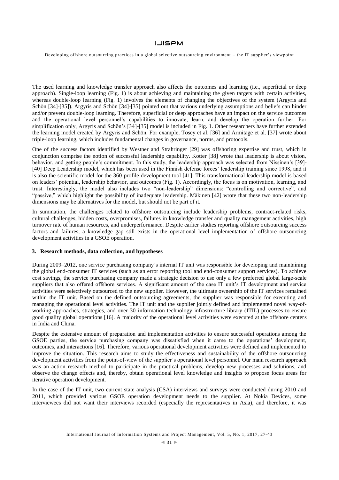Developing offshore outsourcing practices in a global selective outsourcing environment – the IT supplier's viewpoint

The used learning and knowledge transfer approach also affects the outcomes and learning (i.e., superficial or deep approach). Single-loop learning (Fig. 1) is about achieving and maintaining the given targets with certain activities, whereas double-loop learning (Fig. 1) involves the elements of changing the objectives of the system (Argyris and Schön [34]-[35]). Argyris and Schön [34]-[35] pointed out that various underlying assumptions and beliefs can hinder and/or prevent double-loop learning. Therefore, superficial or deep approaches have an impact on the service outcomes and the operational level personnel's capabilities to innovate, learn, and develop the operation further. For simplification only, Argyris and Schön's [34]-[35] model is included in Fig. 1. Other researchers have further extended the learning model created by Argyris and Schön. For example, Tosey et al. [36] and Armitage et al. [37] wrote about triple-loop learning, which includes fundamental changes in governance, norms, and protocols.

One of the success factors identified by Westner and Strahringer [29] was offshoring expertise and trust, which in conjunction comprise the notion of successful leadership capability. Kotter [38] wrote that leadership is about vision, behavior, and getting people's commitment. In this study, the leadership approach was selected from Nissinen's [39]- [40] Deep Leadership model, which has been used in the Finnish defense forces' leadership training since 1998, and it is also the scientific model for the 360-profile development tool [41]. This transformational leadership model is based on leaders' potential, leadership behavior, and outcomes (Fig. 1). Accordingly, the focus is on motivation, learning, and trust. Interestingly, the model also includes two "non-leadership" dimensions: "controlling and corrective", and "passive," which highlight the possibility of inadequate leadership. Mäkinen [42] wrote that these two non-leadership dimensions may be alternatives for the model, but should not be part of it.

In summation, the challenges related to offshore outsourcing include leadership problems, contract-related risks, cultural challenges, hidden costs, overpromises, failures in knowledge transfer and quality management activities, high turnover rate of human resources, and underperformance. Despite earlier studies reporting offshore outsourcing success factors and failures, a knowledge gap still exists in the operational level implementation of offshore outsourcing development activities in a GSOE operation.

#### **3. Research methods, data collection, and hypotheses**

During 2009–2012, one service purchasing company's internal IT unit was responsible for developing and maintaining the global end-consumer IT services (such as an error reporting tool and end-consumer support services). To achieve cost savings, the service purchasing company made a strategic decision to use only a few preferred global large-scale suppliers that also offered offshore services. A significant amount of the case IT unit's IT development and service activities were selectively outsourced to the new supplier. However, the ultimate ownership of the IT services remained within the IT unit. Based on the defined outsourcing agreements, the supplier was responsible for executing and managing the operational level activities. The IT unit and the supplier jointly defined and implemented novel way-ofworking approaches, strategies, and over 30 information technology infrastructure library (ITIL) processes to ensure good quality global operations [16]. A majority of the operational level activities were executed at the offshore centers in India and China.

Despite the extensive amount of preparation and implementation activities to ensure successful operations among the GSOE parties, the service purchasing company was dissatisfied when it came to the operations' development, outcomes, and interactions [16]. Therefore, various operational development activities were defined and implemented to improve the situation. This research aims to study the effectiveness and sustainability of the offshore outsourcing development activities from the point-of-view of the supplier's operational level personnel. Our main research approach was an action research method to participate in the practical problems, develop new processes and solutions, and observe the change effects and, thereby, obtain operational level knowledge and insights to propose focus areas for iterative operation development.

In the case of the IT unit, two current state analysis (CSA) interviews and surveys were conducted during 2010 and 2011, which provided various GSOE operation development needs to the supplier. At Nokia Devices, some interviewees did not want their interviews recorded (especially the representatives in Asia), and therefore, it was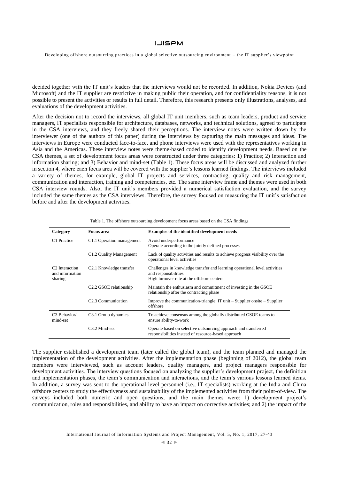Developing offshore outsourcing practices in a global selective outsourcing environment – the IT supplier's viewpoint

decided together with the IT unit's leaders that the interviews would not be recorded. In addition, Nokia Devices (and Microsoft) and the IT supplier are restrictive in making public their operation, and for confidentiality reasons, it is not possible to present the activities or results in full detail. Therefore, this research presents only illustrations, analyses, and evaluations of the development activities.

After the decision not to record the interviews, all global IT unit members, such as team leaders, product and service managers, IT specialists responsible for architecture, databases, networks, and technical solutions, agreed to participate in the CSA interviews, and they freely shared their perceptions. The interview notes were written down by the interviewer (one of the authors of this paper) during the interviews by capturing the main messages and ideas. The interviews in Europe were conducted face-to-face, and phone interviews were used with the representatives working in Asia and the Americas. These interview notes were theme-based coded to identify development needs. Based on the CSA themes, a set of development focus areas were constructed under three categories: 1) Practice; 2) Interaction and information sharing; and 3) Behavior and mind-set (Table 1). These focus areas will be discussed and analyzed further in section 4, where each focus area will be covered with the supplier's lessons learned findings. The interviews included a variety of themes, for example, global IT projects and services, contracting, quality and risk management, communication and interaction, training and competencies, etc. The same interview frame and themes were used in both CSA interview rounds. Also, the IT unit's members provided a numerical satisfaction evaluation, and the survey included the same themes as the CSA interviews. Therefore, the survey focused on measuring the IT unit's satisfaction before and after the development activities.

| Category                                                 | <b>Focus</b> area                   | <b>Examples of the identified development needs</b>                                                                                              |
|----------------------------------------------------------|-------------------------------------|--------------------------------------------------------------------------------------------------------------------------------------------------|
| C <sub>1</sub> Practice                                  | C1.1 Operation management           | Avoid underperformance<br>Operate according to the jointly defined processes                                                                     |
|                                                          | C1.2 Quality Management             | Lack of quality activities and results to achieve progress visibility over the<br>operational level activities                                   |
| C <sub>2</sub> Interaction<br>and information<br>sharing | C <sub>2.1</sub> Knowledge transfer | Challenges in knowledge transfer and learning operational level activities<br>and responsibilities<br>High turnover rate at the offshore centers |
|                                                          | C <sub>2</sub> .2 GSOE relationship | Maintain the enthusiasm and commitment of investing in the GSOE<br>relationship after the contracting phase                                      |
|                                                          | C <sub>2.3</sub> Communication      | Improve the communication-triangle: $IT$ unit $-$ Supplier onsite $-$ Supplier<br>offshore                                                       |
| C <sub>3</sub> Behavior/<br>mind-set                     | C <sub>3.1</sub> Group dynamics     | To achieve consensus among the globally distributed GSOE teams to<br>ensure ability-to-work                                                      |
|                                                          | C <sub>3.2</sub> Mind-set           | Operate based on selective outsourcing approach and transferred<br>responsibilities instead of resource-based approach                           |

Table 1. The offshore outsourcing development focus areas based on the CSA findings

The supplier established a development team (later called the global team), and the team planned and managed the implementation of the development activities. After the implementation phase (beginning of 2012), the global team members were interviewed, such as account leaders, quality managers, and project managers responsible for development activities. The interview questions focused on analyzing the supplier's development project, the definition and implementation phases, the team's communication and interactions, and the team's various lessons learned items. In addition, a survey was sent to the operational level personnel (i.e., IT specialists) working at the India and China offshore centers to study the effectiveness and sustainability of the implemented activities from their point-of-view. The surveys included both numeric and open questions, and the main themes were: 1) development project's communication, roles and responsibilities, and ability to have an impact on corrective activities; and 2) the impact of the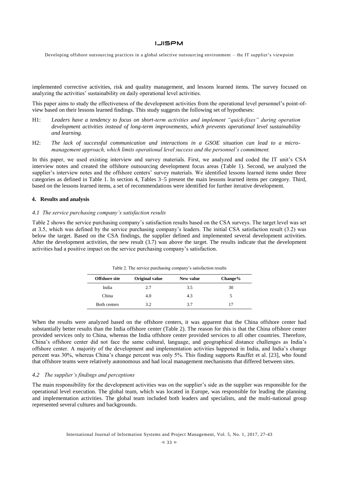Developing offshore outsourcing practices in a global selective outsourcing environment – the IT supplier's viewpoint

implemented corrective activities, risk and quality management, and lessons learned items. The survey focused on analyzing the activities' sustainability on daily operational level activities.

This paper aims to study the effectiveness of the development activities from the operational level personnel's point-ofview based on their lessons learned findings. This study suggests the following set of hypotheses:

- H1: *Leaders have a tendency to focus on short-term activities and implement "quick-fixes" during operation development activities instead of long-term improvements, which prevents operational level sustainability and learning.*
- H2: *The lack of successful communication and interactions in a GSOE situation can lead to a micromanagement approach, which limits operational level success and the personnel's commitment.*

In this paper, we used existing interview and survey materials. First, we analyzed and coded the IT unit's CSA interview notes and created the offshore outsourcing development focus areas (Table 1). Second, we analyzed the supplier's interview notes and the offshore centers' survey materials. We identified lessons learned items under three categories as defined in Table 1. In section 4, Tables 3–5 present the main lessons learned items per category. Third, based on the lessons learned items, a set of recommendations were identified for further iterative development.

#### **4. Results and analysis**

#### *4.1 The service purchasing company's satisfaction results*

Table 2 shows the service purchasing company's satisfaction results based on the CSA surveys. The target level was set at 3.5, which was defined by the service purchasing company's leaders. The initial CSA satisfaction result (3.2) was below the target. Based on the CSA findings, the supplier defined and implemented several development activities. After the development activities, the new result (3.7) was above the target. The results indicate that the development activities had a positive impact on the service purchasing company's satisfaction.

| <b>Offshore site</b> | Original value | New value | Change% |
|----------------------|----------------|-----------|---------|
| India                | 2.7            | 3.5       | 30      |
| China                | 4.0            | 4.3       |         |
| Both centers         | 3.2            | 3.7       |         |

Table 2. The service purchasing company's satisfaction results

When the results were analyzed based on the offshore centers, it was apparent that the China offshore center had substantially better results than the India offshore center (Table 2). The reason for this is that the China offshore center provided services only to China, whereas the India offshore center provided services to all other countries. Therefore, China's offshore center did not face the same cultural, language, and geographical distance challenges as India's offshore center. A majority of the development and implementation activities happened in India, and India's change percent was 30%, whereas China's change percent was only 5%. This finding supports Rauffet et al. [23], who found that offshore teams were relatively autonomous and had local management mechanisms that differed between sites.

### *4.2 The supplier's findings and perceptions*

The main responsibility for the development activities was on the supplier's side as the supplier was responsible for the operational level execution. The global team, which was located in Europe, was responsible for leading the planning and implementation activities. The global team included both leaders and specialists, and the multi-national group represented several cultures and backgrounds.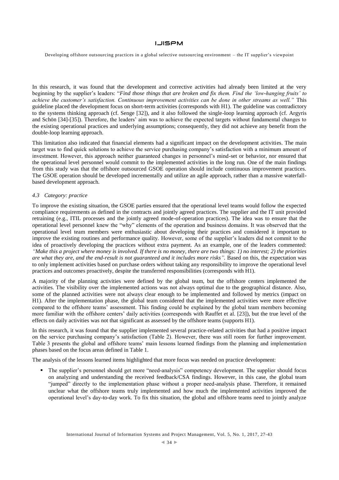Developing offshore outsourcing practices in a global selective outsourcing environment – the IT supplier's viewpoint

In this research, it was found that the development and corrective activities had already been limited at the very beginning by the supplier's leaders: "*Find those things that are broken and fix them. Find the 'low-hanging fruits' to achieve the customer's satisfaction. Continuous improvement activities can be done in other streams as well."* This guideline placed the development focus on short-term activities (corresponds with H1). The guideline was contradictory to the systems thinking approach (cf. Senge [32]), and it also followed the single-loop learning approach (cf. Argyris and Schön [34]-[35]). Therefore, the leaders' aim was to achieve the expected targets without fundamental changes to the existing operational practices and underlying assumptions; consequently, they did not achieve any benefit from the double-loop learning approach.

This limitation also indicated that financial elements had a significant impact on the development activities. The main target was to find quick solutions to achieve the service purchasing company's satisfaction with a minimum amount of investment. However, this approach neither guaranteed changes in personnel's mind-set or behavior, nor ensured that the operational level personnel would commit to the implemented activities in the long run. One of the main findings from this study was that the offshore outsourced GSOE operation should include continuous improvement practices. The GSOE operation should be developed incrementally and utilize an agile approach, rather than a massive waterfallbased development approach.

### *4.3 Category: practice*

To improve the existing situation, the GSOE parties ensured that the operational level teams would follow the expected compliance requirements as defined in the contracts and jointly agreed practices. The supplier and the IT unit provided retraining (e.g., ITIL processes and the jointly agreed mode-of-operation practices). The idea was to ensure that the operational level personnel knew the "why" elements of the operation and business domains. It was observed that the operational level team members were enthusiastic about developing their practices and considered it important to improve the existing routines and performance quality. However, some of the supplier's leaders did not commit to the idea of proactively developing the practices without extra payment. As an example, one of the leaders commented: *"Make this a project where money is involved. If there is no money, there are two things: 1) no interest; 2) the priorities are what they are, and the end-result is not guaranteed and it includes more risks".* Based on this, the expectation was to only implement activities based on purchase orders without taking any responsibility to improve the operational level practices and outcomes proactively, despite the transferred responsibilities (corresponds with H1).

A majority of the planning activities were defined by the global team, but the offshore centers implemented the activities. The visibility over the implemented actions was not always optimal due to the geographical distance. Also, some of the planned activities were not always clear enough to be implemented and followed by metrics (impact on H1). After the implementation phase, the global team considered that the implemented activities were more effective compared to the offshore teams' assessment. This finding could be explained by the global team members becoming more familiar with the offshore centers' daily activities (corresponds with Rauffet et al. [23]), but the true level of the effects on daily activities was not that significant as assessed by the offshore teams (supports H1).

In this research, it was found that the supplier implemented several practice-related activities that had a positive impact on the service purchasing company's satisfaction (Table 2). However, there was still room for further improvement. Table 3 presents the global and offshore teams' main lessons learned findings from the planning and implementation phases based on the focus areas defined in Table 1.

The analysis of the lessons learned items highlighted that more focus was needed on practice development:

 The supplier's personnel should get more "need-analysis" competency development. The supplier should focus on analyzing and understanding the received feedback/CSA findings. However, in this case, the global team "jumped" directly to the implementation phase without a proper need-analysis phase. Therefore, it remained unclear what the offshore teams truly implemented and how much the implemented activities improved the operational level's day-to-day work. To fix this situation, the global and offshore teams need to jointly analyze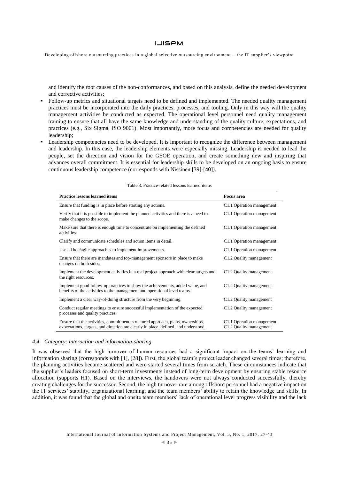Developing offshore outsourcing practices in a global selective outsourcing environment – the IT supplier's viewpoint

and identify the root causes of the non-conformances, and based on this analysis, define the needed development and corrective activities;

- Follow-up metrics and situational targets need to be defined and implemented. The needed quality management practices must be incorporated into the daily practices, processes, and tooling. Only in this way will the quality management activities be conducted as expected. The operational level personnel need quality management training to ensure that all have the same knowledge and understanding of the quality culture, expectations, and practices (e.g., Six Sigma, ISO 9001). Most importantly, more focus and competencies are needed for quality leadership;
- Leadership competencies need to be developed. It is important to recognize the difference between management and leadership. In this case, the leadership elements were especially missing. Leadership is needed to lead the people, set the direction and vision for the GSOE operation, and create something new and inspiring that advances overall commitment. It is essential for leadership skills to be developed on an ongoing basis to ensure continuous leadership competence (corresponds with Nissinen [39]-[40]).

| <b>Practice lessons learned items</b>                                                                                                                                  | <b>Focus</b> area                                    |
|------------------------------------------------------------------------------------------------------------------------------------------------------------------------|------------------------------------------------------|
| Ensure that funding is in place before starting any actions.                                                                                                           | C1.1 Operation management                            |
| Verify that it is possible to implement the planned activities and there is a need to<br>make changes to the scope.                                                    | C1.1 Operation management                            |
| Make sure that there is enough time to concentrate on implementing the defined<br>activities.                                                                          | C1.1 Operation management                            |
| Clarify and communicate schedules and action items in detail.                                                                                                          | C1.1 Operation management                            |
| Use ad hoc/agile approaches to implement improvements.                                                                                                                 | C1.1 Operation management                            |
| Ensure that there are mandates and top-management sponsors in place to make<br>changes on both sides.                                                                  | C1.2 Quality management                              |
| Implement the development activities in a real project approach with clear targets and<br>the right resources.                                                         | C1.2 Quality management                              |
| Implement good follow-up practices to show the achievements, added value, and<br>benefits of the activities to the management and operational level teams.             | C1.2 Quality management                              |
| Implement a clear way-of-doing structure from the very beginning.                                                                                                      | C1.2 Quality management                              |
| Conduct regular meetings to ensure successful implementation of the expected<br>processes and quality practices.                                                       | C1.2 Quality management                              |
| Ensure that the activities, commitment, structured approach, plans, ownerships,<br>expectations, targets, and direction are clearly in place, defined, and understood. | C1.1 Operation management<br>C1.2 Quality management |

#### Table 3. Practice-related lessons learned items

#### *4.4 Category: interaction and information-sharing*

It was observed that the high turnover of human resources had a significant impact on the teams' learning and information sharing (corresponds with [1], [28]). First, the global team's project leader changed several times; therefore, the planning activities became scattered and were started several times from scratch. These circumstances indicate that the supplier's leaders focused on short-term investments instead of long-term development by ensuring stable resource allocation (supports H1). Based on the interviews, the handovers were not always conducted successfully, thereby creating challenges for the successor. Second, the high turnover rate among offshore personnel had a negative impact on the IT services' stability, organizational learning, and the team members' ability to retain the knowledge and skills. In addition, it was found that the global and onsite team members' lack of operational level progress visibility and the lack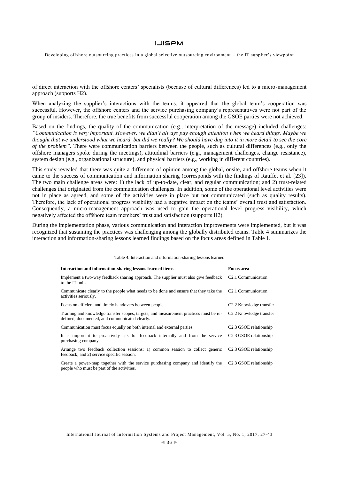Developing offshore outsourcing practices in a global selective outsourcing environment – the IT supplier's viewpoint

of direct interaction with the offshore centers' specialists (because of cultural differences) led to a micro-management approach (supports H2).

When analyzing the supplier's interactions with the teams, it appeared that the global team's cooperation was successful. However, the offshore centers and the service purchasing company's representatives were not part of the group of insiders. Therefore, the true benefits from successful cooperation among the GSOE parties were not achieved.

Based on the findings, the quality of the communication (e.g., interpretation of the message) included challenges: *"Communication is very important. However, we didn't always pay enough attention when we heard things. Maybe we thought that we understood what we heard, but did we really? We should have dug into it in more detail to see the core of the problem".* There were communication barriers between the people, such as cultural differences (e.g., only the offshore managers spoke during the meetings), attitudinal barriers (e.g., management challenges, change resistance), system design (e.g., organizational structure), and physical barriers (e.g., working in different countries).

This study revealed that there was quite a difference of opinion among the global, onsite, and offshore teams when it came to the success of communication and information sharing (corresponds with the findings of Rauffet et al. [23]). The two main challenge areas were: 1) the lack of up-to-date, clear, and regular communication; and 2) trust-related challenges that originated from the communication challenges. In addition, some of the operational level activities were not in place as agreed, and some of the activities were in place but not communicated (such as quality results). Therefore, the lack of operational progress visibility had a negative impact on the teams' overall trust and satisfaction. Consequently, a micro-management approach was used to gain the operational level progress visibility, which negatively affected the offshore team members' trust and satisfaction (supports H2).

During the implementation phase, various communication and interaction improvements were implemented, but it was recognized that sustaining the practices was challenging among the globally distributed teams. Table 4 summarizes the interaction and information-sharing lessons learned findings based on the focus areas defined in Table 1.

| Interaction and information-sharing lessons learned items                                                                                | <b>Focus</b> area                    |
|------------------------------------------------------------------------------------------------------------------------------------------|--------------------------------------|
| Implement a two-way feedback sharing approach. The supplier must also give feedback<br>to the IT unit.                                   | C <sub>2.1</sub> Communication       |
| Communicate clearly to the people what needs to be done and ensure that they take the<br>activities seriously.                           | C <sub>2.1</sub> Communication       |
| Focus on efficient and timely handovers between people.                                                                                  | C <sub>2</sub> .2 Knowledge transfer |
| Training and knowledge transfer scopes, targets, and measurement practices must be re-<br>defined, documented, and communicated clearly. | C <sub>2</sub> .2 Knowledge transfer |
| Communication must focus equally on both internal and external parties.                                                                  | C <sub>2</sub> .3 GSOE relationship  |
| It is important to proactively ask for feedback internally and from the service<br>purchasing company.                                   | C <sub>2</sub> .3 GSOE relationship  |
| Arrange two feedback collection sessions: 1) common session to collect generic<br>feedback; and 2) service specific session.             | C <sub>2</sub> .3 GSOE relationship  |
| Create a power-map together with the service purchasing company and identify the<br>people who must be part of the activities.           | C <sub>2</sub> .3 GSOE relationship  |

Table 4. Interaction and information-sharing lessons learned

International Journal of Information Systems and Project Management, Vol. 5, No. 1, 2017, 27-43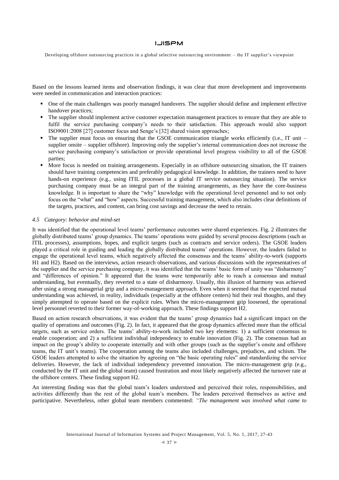Developing offshore outsourcing practices in a global selective outsourcing environment – the IT supplier's viewpoint

Based on the lessons learned items and observation findings, it was clear that more development and improvements were needed in communication and interaction practices:

- One of the main challenges was poorly managed handovers. The supplier should define and implement effective handover practices;
- The supplier should implement active customer expectation management practices to ensure that they are able to fulfil the service purchasing company's needs to their satisfaction. This approach would also support ISO9001:2008 [27] customer focus and Senge's [32] shared vision approaches;
- The supplier must focus on ensuring that the GSOE communication triangle works efficiently (i.e., IT unit supplier onsite – supplier offshore). Improving only the supplier's internal communication does not increase the service purchasing company's satisfaction or provide operational level progress visibility to all of the GSOE parties;
- More focus is needed on training arrangements. Especially in an offshore outsourcing situation, the IT trainers should have training competencies and preferably pedagogical knowledge. In addition, the trainers need to have hands-on experience (e.g., using ITIL processes in a global IT service outsourcing situation). The service purchasing company must be an integral part of the training arrangements, as they have the core-business knowledge. It is important to share the "why" knowledge with the operational level personnel and to not only focus on the "what" and "how" aspects. Successful training management, which also includes clear definitions of the targets, practices, and content, can bring cost savings and decrease the need to retrain.

#### *4.5 Category: behavior and mind-set*

It was identified that the operational level teams' performance outcomes were shared experiences. Fig. 2 illustrates the globally distributed teams' group dynamics. The teams' operations were guided by several process descriptions (such as ITIL processes), assumptions, hopes, and explicit targets (such as contracts and service orders). The GSOE leaders played a critical role in guiding and leading the globally distributed teams' operations. However, the leaders failed to engage the operational level teams, which negatively affected the consensus and the teams' ability-to-work (supports H1 and H2). Based on the interviews, action research observations, and various discussions with the representatives of the supplier and the service purchasing company, it was identified that the teams' basic form of unity was "disharmony" and "differences of opinion." It appeared that the teams were temporarily able to reach a consensus and mutual understanding, but eventually, they reverted to a state of disharmony. Usually, this illusion of harmony was achieved after using a strong managerial grip and a micro-management approach. Even when it seemed that the expected mutual understanding was achieved, in reality, individuals (especially at the offshore centers) hid their real thoughts, and they simply attempted to operate based on the explicit rules. When the micro-management grip loosened, the operational level personnel reverted to their former way-of-working approach. These findings support H2.

Based on action research observations, it was evident that the teams' group dynamics had a significant impact on the quality of operations and outcomes (Fig. 2). In fact, it appeared that the group dynamics affected more than the official targets, such as service orders. The teams' ability-to-work included two key elements: 1) a sufficient consensus to enable cooperation; and 2) a sufficient individual independency to enable innovation (Fig. 2). The consensus had an impact on the group's ability to cooperate internally and with other groups (such as the supplier's onsite and offshore teams, the IT unit's teams). The cooperation among the teams also included challenges, prejudices, and schism. The GSOE leaders attempted to solve the situation by agreeing on "the basic operating rules" and standardizing the service deliveries. However, the lack of individual independency prevented innovation. The micro-management grip (e.g., conducted by the IT unit and the global team) caused frustration and most likely negatively affected the turnover rate at the offshore centers. These finding support H2.

An interesting finding was that the global team's leaders understood and perceived their roles, responsibilities, and activities differently than the rest of the global team's members. The leaders perceived themselves as active and participative. Nevertheless, other global team members commented: *"The management was involved what came to*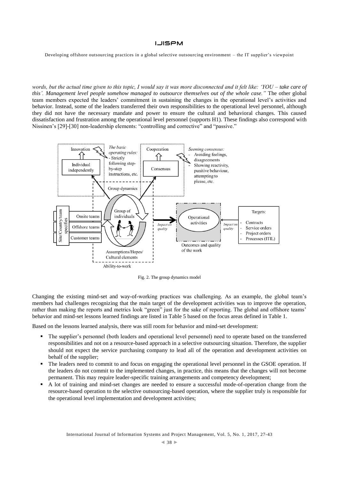Developing offshore outsourcing practices in a global selective outsourcing environment – the IT supplier's viewpoint

*words, but the actual time given to this topic, I would say it was more disconnected and it felt like: 'YOU – take care of this'. Management level people somehow managed to outsource themselves out of the whole case."* The other global team members expected the leaders' commitment in sustaining the changes in the operational level's activities and behavior. Instead, some of the leaders transferred their own responsibilities to the operational level personnel, although they did not have the necessary mandate and power to ensure the cultural and behavioral changes. This caused dissatisfaction and frustration among the operational level personnel (supports H1). These findings also correspond with Nissinen's [29]-[30] non-leadership elements: "controlling and corrective" and "passive."



Fig. 2. The group dynamics model

Changing the existing mind-set and way-of-working practices was challenging. As an example, the global team's members had challenges recognizing that the main target of the development activities was to improve the operation, rather than making the reports and metrics look "green" just for the sake of reporting. The global and offshore teams' behavior and mind-set lessons learned findings are listed in Table 5 based on the focus areas defined in Table 1.

Based on the lessons learned analysis, there was still room for behavior and mind-set development:

- The supplier's personnel (both leaders and operational level personnel) need to operate based on the transferred responsibilities and not on a resource-based approach in a selective outsourcing situation. Therefore, the supplier should not expect the service purchasing company to lead all of the operation and development activities on behalf of the supplier;
- The leaders need to commit to and focus on engaging the operational level personnel in the GSOE operation. If the leaders do not commit to the implemented changes, in practice, this means that the changes will not become permanent. This may require leader-specific training arrangements and competency development;
- A lot of training and mind-set changes are needed to ensure a successful mode-of-operation change from the resource-based operation to the selective outsourcing-based operation, where the supplier truly is responsible for the operational level implementation and development activities;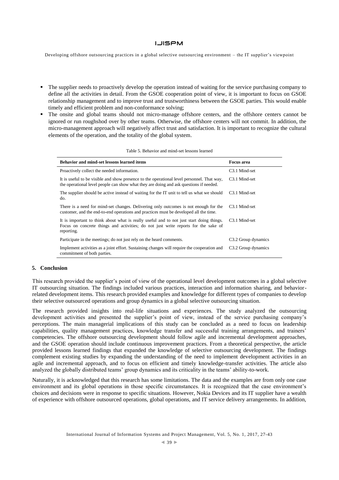Developing offshore outsourcing practices in a global selective outsourcing environment – the IT supplier's viewpoint

- The supplier needs to proactively develop the operation instead of waiting for the service purchasing company to define all the activities in detail. From the GSOE cooperation point of view, it is important to focus on GSOE relationship management and to improve trust and trustworthiness between the GSOE parties. This would enable timely and efficient problem and non-conformance solving;
- The onsite and global teams should not micro-manage offshore centers, and the offshore centers cannot be ignored or run roughshod over by other teams. Otherwise, the offshore centers will not commit. In addition, the micro-management approach will negatively affect trust and satisfaction. It is important to recognize the cultural elements of the operation, and the totality of the global system.

| Behavior and mind-set lessons learned items                                                                                                                                                  | <b>Focus area</b>               |
|----------------------------------------------------------------------------------------------------------------------------------------------------------------------------------------------|---------------------------------|
| Proactively collect the needed information.                                                                                                                                                  | C <sub>3.1</sub> Mind-set       |
| It is useful to be visible and show presence to the operational level personnel. That way,<br>the operational level people can show what they are doing and ask questions if needed.         | C <sub>3.1</sub> Mind-set       |
| The supplier should be active instead of waiting for the IT unit to tell us what we should<br>do.                                                                                            | C <sub>3.1</sub> Mind-set       |
| There is a need for mind-set changes. Delivering only outcomes is not enough for the<br>customer, and the end-to-end operations and practices must be developed all the time.                | C <sub>3.1</sub> Mind-set       |
| It is important to think about what is really useful and to not just start doing things.<br>Focus on concrete things and activities; do not just write reports for the sake of<br>reporting. | C <sub>3.1</sub> Mind-set       |
| Participate in the meetings; do not just rely on the heard comments.                                                                                                                         | C <sub>3.2</sub> Group dynamics |
| Implement activities as a joint effort. Sustaining changes will require the cooperation and<br>commitment of both parties.                                                                   | C <sub>3.2</sub> Group dynamics |

#### Table 5. Behavior and mind-set lessons learned

### **5. Conclusion**

This research provided the supplier's point of view of the operational level development outcomes in a global selective IT outsourcing situation. The findings included various practices, interaction and information sharing, and behaviorrelated development items. This research provided examples and knowledge for different types of companies to develop their selective outsourced operations and group dynamics in a global selective outsourcing situation.

The research provided insights into real-life situations and experiences. The study analyzed the outsourcing development activities and presented the supplier's point of view, instead of the service purchasing company's perceptions. The main managerial implications of this study can be concluded as a need to focus on leadership capabilities, quality management practices, knowledge transfer and successful training arrangements, and trainers' competencies. The offshore outsourcing development should follow agile and incremental development approaches, and the GSOE operation should include continuous improvement practices. From a theoretical perspective, the article provided lessons learned findings that expanded the knowledge of selective outsourcing development. The findings complement existing studies by expanding the understanding of the need to implement development activities in an agile and incremental approach, and to focus on efficient and timely knowledge-transfer activities. The article also analyzed the globally distributed teams' group dynamics and its criticality in the teams' ability-to-work.

Naturally, it is acknowledged that this research has some limitations. The data and the examples are from only one case environment and its global operations in those specific circumstances. It is recognized that the case environment's choices and decisions were in response to specific situations. However, Nokia Devices and its IT supplier have a wealth of experience with offshore outsourced operations, global operations, and IT service delivery arrangements. In addition,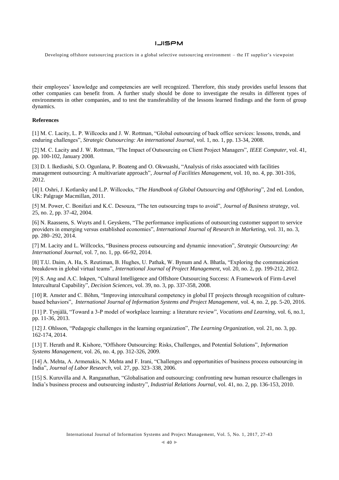Developing offshore outsourcing practices in a global selective outsourcing environment – the IT supplier's viewpoint

their employees' knowledge and competencies are well recognized. Therefore, this study provides useful lessons that other companies can benefit from. A further study should be done to investigate the results in different types of environments in other companies, and to test the transferability of the lessons learned findings and the form of group dynamics.

### **References**

[1] M. C. Lacity, L. P. Willcocks and J. W. Rottman, "Global outsourcing of back office services: lessons, trends, and enduring challenges", *Strategic Outsourcing: An international Journal*, vol. 1, no. 1, pp. 13-34, 2008.

[2] M. C. Lacity and J. W. Rottman, "The Impact of Outsourcing on Client Project Managers", *IEEE Computer*, vol. 41, pp. 100-102, January 2008.

[3] D. I. Ikediashi, S.O. Ogunlana, P. Boateng and O. Okwuashi, "Analysis of risks associated with facilities management outsourcing: A multivariate approach", *Journal of Facilities Management*, vol. 10, no. 4, pp. 301-316, 2012.

[4] I. Oshri, J. Kotlarsky and L.P. Willcocks, "*The Handbook of Global Outsourcing and Offshoring*", 2nd ed. London, UK: Palgrage Macmillan, 2011.

[5] M. Power, C. Bonifazi and K.C. Desouza, "The ten outsourcing traps to avoid", *Journal of Business strategy*, vol. 25, no. 2, pp. 37-42, 2004.

[6] [N. Raassens, S. Wuyts](http://www.sciencedirect.com/science/article/pii/S0167811614000214) and [I. Geyskens,](http://www.sciencedirect.com/science/article/pii/S0167811614000214) "The performance implications of outsourcing customer support to service providers in emerging versus established economies", *[International Journal of Research in Marketing](http://www.sciencedirect.com/science/journal/01678116)*[, vol. 31, no. 3,](http://www.sciencedirect.com/science/journal/01678116/31/3)  pp. 280–292, 2014.

[7] [M. Lacity](http://www.emeraldinsight.com/author/Lacity%2C+Mary) an[d L. Willcocks,](http://www.emeraldinsight.com/author/Willcocks%2C+Leslie) "Business process outsourcing and dynamic innovation", *Strategic Outsourcing: An International Journal*, vol. 7, no. 1, pp. 66-92, 2014.

[8] T.U. Daim, A. Ha, S. Reutiman, B. Hughes, U. Pathak, W. Bynum and A. Bhatla, "Exploring the communication breakdown in global virtual teams", *International Journal of Project Management*, vol. 20, no. 2, pp. 199-212, 2012.

[9] S. Ang and A.C. Inkpen, "Cultural Intelligence and Offshore Outsourcing Success: A Framework of Firm-Level Intercultural Capability", *Decision Sciences*, vol. 39, no. 3, pp. 337-358, 2008.

[10] R. Amster and C. Böhm, "Improving intercultural competency in global IT projects through recognition of culturebased behaviors", *International Journal of Information Systems and Project Management*, vol. 4, no. 2, pp. 5-20, 2016.

[11] P. Tynjälä, "Toward a 3-P model of workplace learning: a literature review", *Vocations and Learning*, vol. 6, no.1, pp. 11-36, 2013.

[12] J. Ohlsson, "Pedagogic challenges in the learning organization", *The Learning Organization*, vol. 21, no. 3, pp. 162-174, 2014.

[13] T. Herath and R. Kishore, "Offshore Outsourcing: Risks, Challenges, and Potential Solutions", *Information Systems Management*, vol. 26, no. 4, pp. 312-326, 2009.

[14] A. Mehta, A. Armenakis, N. Mehta and F. Irani, "Challenges and opportunities of business process outsourcing in India", *Journal of Labor Research*, vol. 27, pp. 323–338, 2006.

[15] S. Kuruvilla and A. Ranganathan, "Globalisation and outsourcing: confronting new human resource challenges in India's business process and outsourcing industry", *Industrial Relations Journal*, vol. 41, no. 2, pp. 136-153, 2010.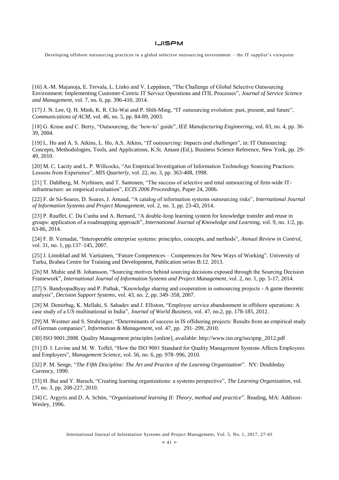Developing offshore outsourcing practices in a global selective outsourcing environment – the IT supplier's viewpoint

[16] A.-M. Majanoja, E. Tervala, L. Linko and V. Leppänen, "The Challenge of Global Selective Outsourcing Environment: Implementing Customer-Centric IT Service Operations and ITIL Processes", *Journal of Service Science and Management*, vol. 7, no. 6, pp. 396-410, 2014.

[17] J. N. Lee, Q. H. Minh, K. R. Chi-Wai and P. Shih-Ming, "IT outsourcing evolution: past, present, and future", *Communications of ACM*, vol. 46, no. 5, pp. 84-89, 2003.

[18] G. Kruse and C. Berry, "Outsourcing, the 'how-to' guide", *IEE Manufacturing Engineering*, vol. 83, no. 4, pp. 36- 39, 2004.

[19] L. Ho and A. S. Atkins, L. Ho, A.S. Atkins, "*IT outsourcing: Impacts and challenges*", in: IT Outsourcing: Concepts, Methodologies, Tools, and Applications, K.St. Amant (Ed.), Business Science Reference, New York, pp. 29- 49, 2010.

[20] M. C. Lacity and L. P. Willcocks, "An Empirical Investigation of Information Technology Sourcing Practices: Lessons from Experience", *MIS Quarterly*, vol. 22, no. 3, pp. 363-408, 1998.

[21] T. Dahlberg, M. Nyrhinen, and T. Santonen, "The success of selective and total outsourcing of firm-wide ITinfrastructure: an empirical evaluation", *ECIS 2006 Proceedings*, Paper 24, 2006.

[22] F. de Sá-Soares, D. Soares, J. Arnaud, "A catalog of information systems outsourcing risks", *International Journal of Information Systems and Project Management*, vol. 2, no. 3, pp. 23-43, 2014.

[23] P. Rauffet, C. Da Cunha and A. Bernard, "A double-loop learning system for knowledge transfer and reuse in groups: application of a roadmapping approach", *International Journal of Knowledge and Learning*, vol. 9, no. 1/2, pp. 63-86, 2014.

[24] F. B. Vernadat, "Interoperable enterprise systems: principles, concepts, and methods", *Annual Review in Control*, vol. 31, no. 1, pp.137–145, 2007.

[25] J. Lönnblad and M. Vartiainen, "Future Competences – Competences for New Ways of Working". University of Turku, Brahea Centre for Training and Development, Publication series B:12. 2013.

[26] M. Muhic and B. Johansson, "Sourcing motives behind sourcing decisions exposed through the Sourcing Decision Framework", *International Journal of Information Systems and Project Management*, vol. 2, no. 1, pp. 5-17, 2014.

[27] S. Bandyopadhyay and P. Pathak, "Knowledge sharing and cooperation in outsourcing projects - A game theoretic analysis", *Decision Support Systems*, vol. 43, no. 2, pp. 349–358, 2007.

[28] M. Demirbag, K. Mellahi, S. Sahadev and J. Elliston, "Employee service abandonment in offshore operations: A case study of a US multinational in India", *Journal of World Business*, vol. 47, no.2, pp. 178-185, 2012.

[29] M. Westner and S. Strahringer, "Determinants of success in IS offshoring projects: Results from an empirical study of German companies", *Information & Management*, vol. 47, pp. 291–299, 2010.

[30] ISO 9001:2008. Quality Management principles [online], available: http://www.iso.org/iso/qmp\_2012.pdf

[31] D. I. Levine and M. W. Toffel, "How the ISO 9001 Standard for Quality Management Systems Affects Employees and Employers", *Management Science*, vol. 56, no. 6, pp. 978–996, 2010.

[32] P. M. Senge, "*The Fifth Discipline: The Art and Practice of the Learning Organization*". NY: Doubleday Currency, 1990.

[33] H. Bui and Y. Baruch, "Creating learning organizations: a systems perspective", *The Learning Organization*, vol. 17, no. 3, pp. 208-227, 2010.

[34] C. Argyris and D. A. Schön, "*Organizational learning II: Theory, method and practice*". Reading, MA: Addison-Wesley, 1996.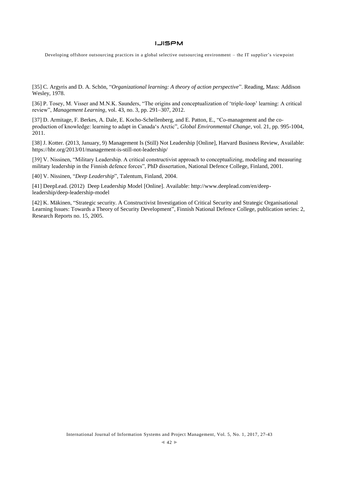Developing offshore outsourcing practices in a global selective outsourcing environment – the IT supplier's viewpoint

[35] C. Argyris and D. A. Schön, "*Organizational learning: A theory of action perspective*". Reading, Mass: Addison Wesley, 1978.

[36] P. Tosey, M. Visser and M.N.K. Saunders, "The origins and conceptualization of 'triple-loop' learning: A critical review", *Management Learning*, vol. 43, no. 3, pp. 291–307, 2012.

[37] D. Armitage, F. Berkes, A. Dale, E. Kocho-Schellenberg, and E. Patton, E., "Co-management and the coproduction of knowledge: learning to adapt in Canada's Arctic", *Global Environmental Change*, vol. 21, pp. 995-1004, 2011.

[38] J. Kotter. (2013, January, 9) Management Is (Still) Not Leadership [Online], Harvard Business Review, Available: https://hbr.org/2013/01/management-is-still-not-leadership/

[39] V. Nissinen, "Military Leadership. A critical constructivist approach to conceptualizing, modeling and measuring military leadership in the Finnish defence forces", PhD dissertation, National Defence College, Finland, 2001.

[40] V. Nissinen, "*Deep Leadership*", Talentum, Finland, 2004.

[41] DeepLead. (2012) Deep Leadership Model [Online]. Available: http://www.deeplead.com/en/deepleadership/deep-leadership-model

[42] K. Mäkinen, "Strategic security. A Constructivist Investigation of Critical Security and Strategic Organisational Learning Issues: Towards a Theory of Security Development", Finnish National Defence College, publication series: 2, Research Reports no. 15, 2005.